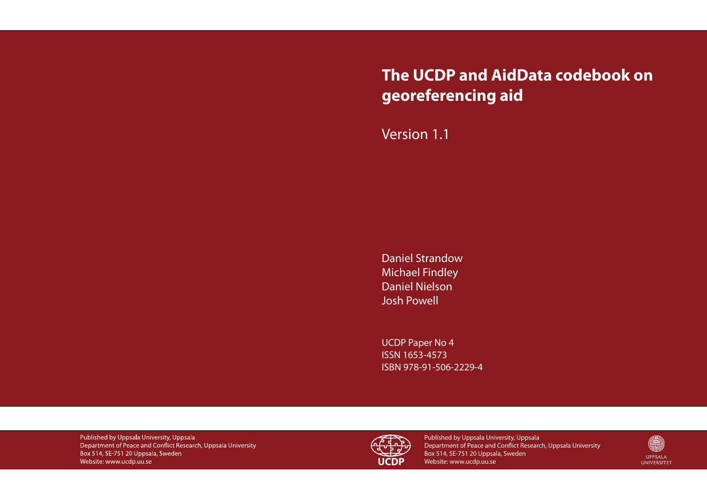# **The UCDP and AidData codebook on georeferencing aid**

# Version 1.1

Daniel Strandow Michael Findley Daniel Nielson Josh Powell

UCDP Paper No 4 ISSN 1653-4573 ISBN 978-91-506-2229-4

Published by Uppsala University, Uppsala Department of Peace and Conflict Research, Uppsala University Box 514, SE-751 20 Uppsala, Sweden Website: www.ucdp.uu.se



Published by Uppsala University, Uppsala Department of Peace and Conflict Research, Uppsala University Box 514, SE-751 20 Uppsala, Sweden Website: www.ucdp.uu.se

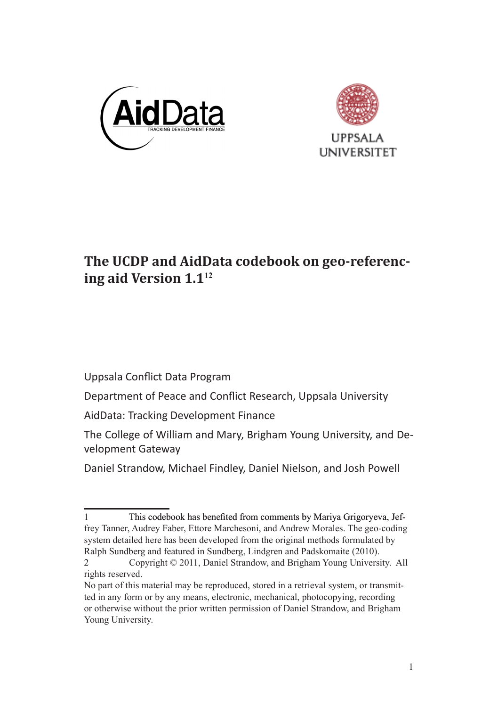



## The UCDP and AidData codebook on geo-referencing aid Version  $1.1^{12}$

Uppsala Conflict Data Program

Department of Peace and Conflict Research, Uppsala University

AidData: Tracking Development Finance

The College of William and Mary, Brigham Young University, and Development Gateway

Daniel Strandow, Michael Findley, Daniel Nielson, and Josh Powell

This codebook has benefited from comments by Mariya Grigoryeva, Jeffrey Tanner, Audrey Faber, Ettore Marchesoni, and Andrew Morales. The geo-coding system detailed here has been developed from the original methods formulated by Ralph Sundberg and featured in Sundberg. Lindgren and Padskomaite (2010).

Copyright © 2011, Daniel Strandow, and Brigham Young University. All  $\mathfrak{D}$ rights reserved.

No part of this material may be reproduced, stored in a retrieval system, or transmitted in any form or by any means, electronic, mechanical, photocopying, recording or otherwise without the prior written permission of Daniel Strandow, and Brigham Young University.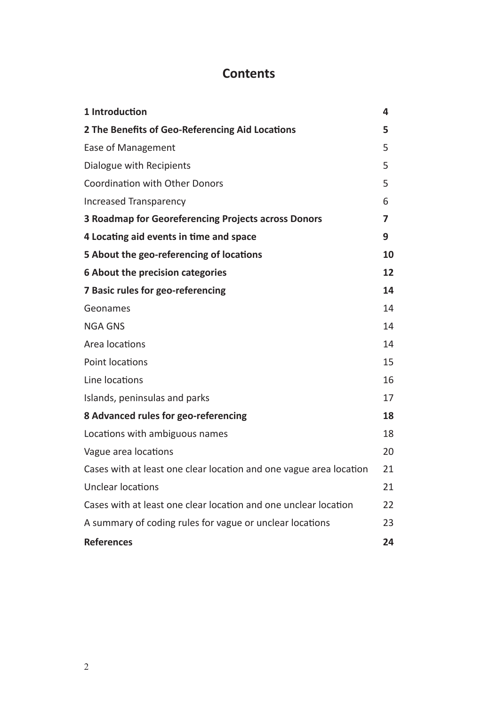### **Contents**

| 1 Introduction                                                     | 4  |
|--------------------------------------------------------------------|----|
| 2 The Benefits of Geo-Referencing Aid Locations                    | 5  |
| Ease of Management                                                 | 5  |
| Dialogue with Recipients                                           | 5  |
| <b>Coordination with Other Donors</b>                              | 5  |
| Increased Transparency                                             | 6  |
| 3 Roadmap for Georeferencing Projects across Donors                | 7  |
| 4 Locating aid events in time and space                            | 9  |
| 5 About the geo-referencing of locations                           | 10 |
| 6 About the precision categories                                   | 12 |
| 7 Basic rules for geo-referencing                                  | 14 |
| Geonames                                                           | 14 |
| <b>NGA GNS</b>                                                     | 14 |
| Area locations                                                     | 14 |
| Point locations                                                    | 15 |
| Line locations                                                     | 16 |
| Islands, peninsulas and parks                                      | 17 |
| 8 Advanced rules for geo-referencing                               | 18 |
| Locations with ambiguous names                                     | 18 |
| Vague area locations                                               | 20 |
| Cases with at least one clear location and one vague area location | 21 |
| Unclear locations                                                  | 21 |
| Cases with at least one clear location and one unclear location    | 22 |
| A summary of coding rules for vague or unclear locations           | 23 |
| <b>References</b>                                                  | 24 |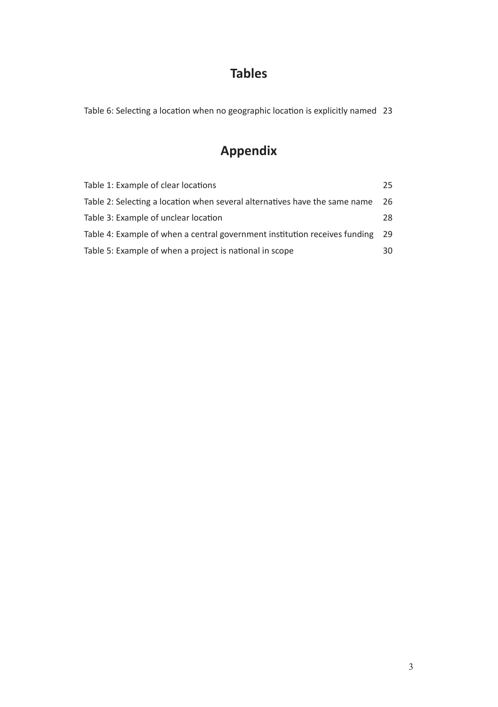### **Tables**

Table 6: Selecting a location when no geographic location is explicitly named 23

## **Appendix**

| Table 1: Example of clear locations                                        | 25. |
|----------------------------------------------------------------------------|-----|
| Table 2: Selecting a location when several alternatives have the same name | 26  |
| Table 3: Example of unclear location                                       | 28. |
| Table 4: Example of when a central government institution receives funding | 29  |
| Table 5: Example of when a project is national in scope                    | 30  |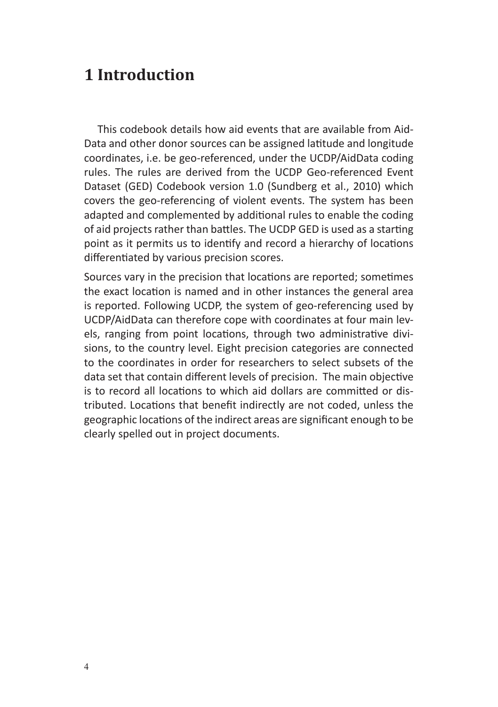# **1 Introduction**

This codebook details how aid events that are available from Aid-Data and other donor sources can be assigned latitude and longitude coordinates, i.e. be geo-referenced, under the UCDP/AidData coding rules. The rules are derived from the UCDP Geo-referenced Event Dataset (GED) Codebook version 1.0 (Sundberg et al., 2010) which covers the geo-referencing of violent events. The system has been adapted and complemented by additional rules to enable the coding of aid projects rather than battles. The UCDP GED is used as a starting point as it permits us to identify and record a hierarchy of locations differentiated by various precision scores.

Sources vary in the precision that locations are reported; sometimes the exact location is named and in other instances the general area is reported. Following UCDP, the system of geo-referencing used by UCDP/AidData can therefore cope with coordinates at four main levels, ranging from point locations, through two administrative divisions, to the country level. Eight precision categories are connected to the coordinates in order for researchers to select subsets of the data set that contain different levels of precision. The main objective is to record all locations to which aid dollars are committed or distributed. Locations that benefit indirectly are not coded, unless the geographic locations of the indirect areas are significant enough to be clearly spelled out in project documents.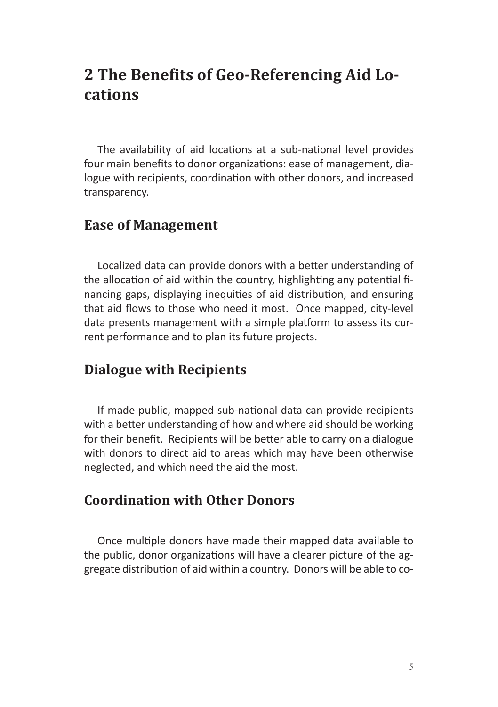# **2 The Benefits of Geo-Referencing Aid Locations**

The availability of aid locations at a sub-national level provides four main benefits to donor organizations: ease of management, dialogue with recipients, coordination with other donors, and increased transparency.

#### **Ease of Management**

Localized data can provide donors with a better understanding of the allocation of aid within the country, highlighting any potential financing gaps, displaying inequities of aid distribution, and ensuring that aid flows to those who need it most. Once mapped, city-level data presents management with a simple platform to assess its current performance and to plan its future projects.

#### **Dialogue with Recipients**

If made public, mapped sub-national data can provide recipients with a better understanding of how and where aid should be working for their benefit. Recipients will be better able to carry on a dialogue with donors to direct aid to areas which may have been otherwise neglected, and which need the aid the most.

#### **Coordination with Other Donors**

Once multiple donors have made their mapped data available to the public, donor organizations will have a clearer picture of the aggregate distribution of aid within a country. Donors will be able to co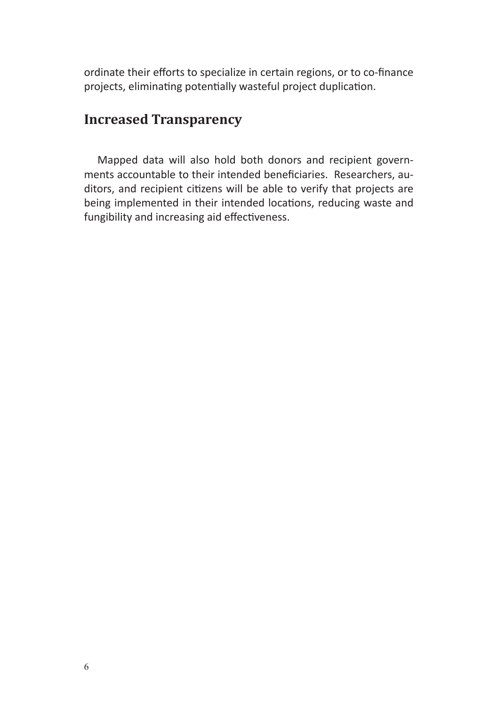ordinate their efforts to specialize in certain regions, or to co-finance projects, eliminating potentially wasteful project duplication.

#### **Increased Transparency**

Mapped data will also hold both donors and recipient governments accountable to their intended beneficiaries. Researchers, auditors, and recipient citizens will be able to verify that projects are being implemented in their intended locations, reducing waste and fungibility and increasing aid effectiveness.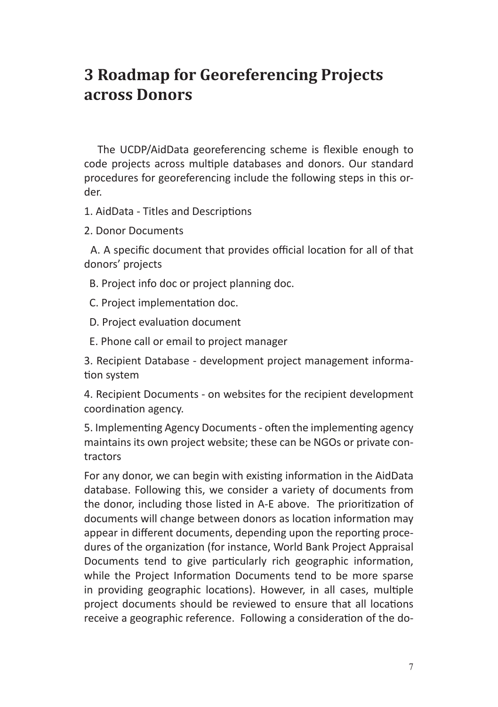# **3 Roadmap for Georeferencing Projects across Donors**

The UCDP/AidData georeferencing scheme is flexible enough to code projects across multiple databases and donors. Our standard procedures for georeferencing include the following steps in this order.

1. AidData - Titles and Descriptions

2. Donor Documents

 A. A specific document that provides official location for all of that donors' projects

- B. Project info doc or project planning doc.
- C. Project implementation doc.
- D. Project evaluation document
- E. Phone call or email to project manager

3. Recipient Database - development project management information system

4. Recipient Documents - on websites for the recipient development coordination agency.

5. Implementing Agency Documents - often the implementing agency maintains its own project website; these can be NGOs or private contractors

For any donor, we can begin with existing information in the AidData database. Following this, we consider a variety of documents from the donor, including those listed in A-E above. The prioritization of documents will change between donors as location information may appear in different documents, depending upon the reporting procedures of the organization (for instance, World Bank Project Appraisal Documents tend to give particularly rich geographic information, while the Project Information Documents tend to be more sparse in providing geographic locations). However, in all cases, multiple project documents should be reviewed to ensure that all locations receive a geographic reference. Following a consideration of the do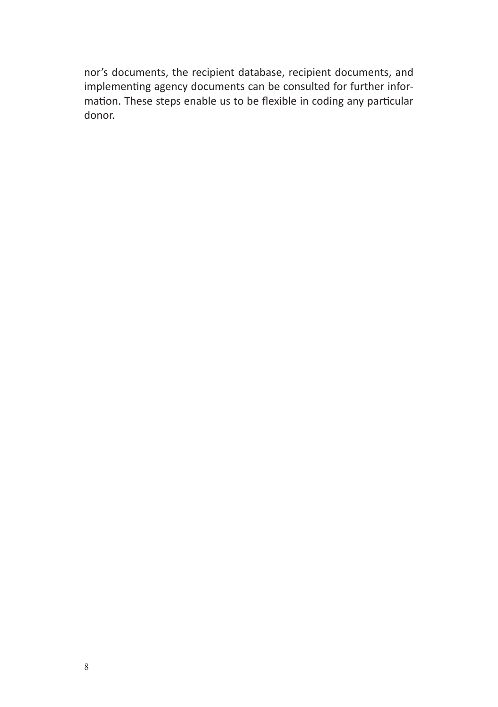nor's documents, the recipient database, recipient documents, and implementing agency documents can be consulted for further information. These steps enable us to be flexible in coding any particular donor.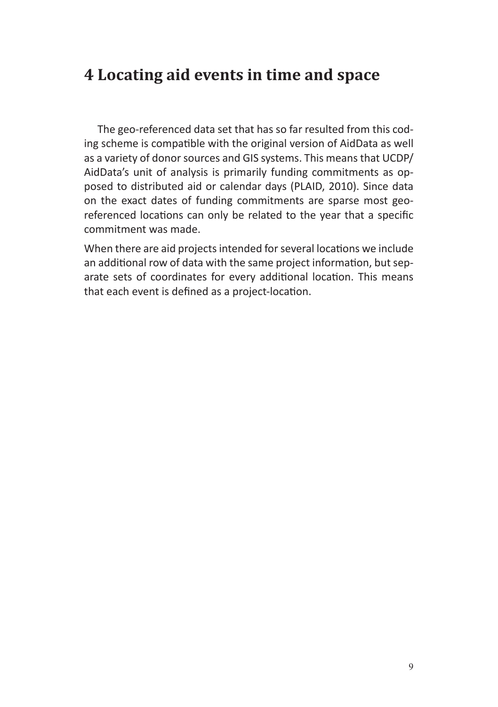# **4 Locating aid events in time and space**

The geo-referenced data set that has so far resulted from this coding scheme is compatible with the original version of AidData as well as a variety of donor sources and GIS systems. This means that UCDP/ AidData's unit of analysis is primarily funding commitments as opposed to distributed aid or calendar days (PLAID, 2010). Since data on the exact dates of funding commitments are sparse most georeferenced locations can only be related to the year that a specific commitment was made.

When there are aid projects intended for several locations we include an additional row of data with the same project information, but separate sets of coordinates for every additional location. This means that each event is defined as a project-location.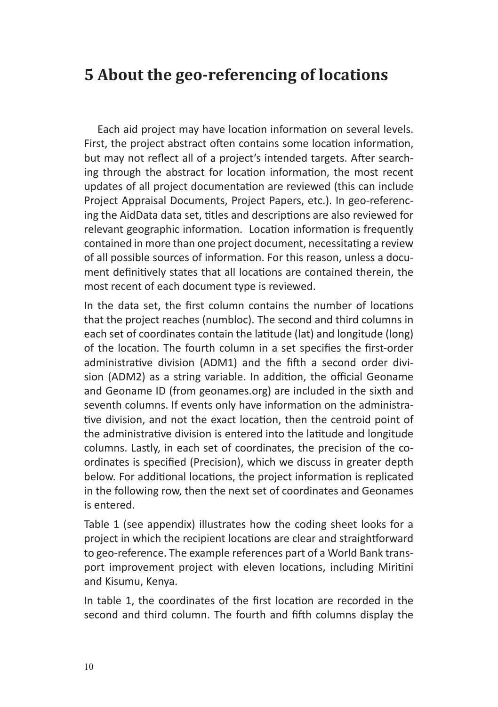# **5 About the geo-referencing of locations**

Each aid project may have location information on several levels. First, the project abstract often contains some location information, but may not reflect all of a project's intended targets. After searching through the abstract for location information, the most recent updates of all project documentation are reviewed (this can include Project Appraisal Documents, Project Papers, etc.). In geo-referencing the AidData data set, titles and descriptions are also reviewed for relevant geographic information. Location information is frequently contained in more than one project document, necessitating a review of all possible sources of information. For this reason, unless a document definitively states that all locations are contained therein, the most recent of each document type is reviewed.

In the data set, the first column contains the number of locations that the project reaches (numbloc). The second and third columns in each set of coordinates contain the latitude (lat) and longitude (long) of the location. The fourth column in a set specifies the first-order administrative division (ADM1) and the fifth a second order division (ADM2) as a string variable. In addition, the official Geoname and Geoname ID (from geonames.org) are included in the sixth and seventh columns. If events only have information on the administrative division, and not the exact location, then the centroid point of the administrative division is entered into the latitude and longitude columns. Lastly, in each set of coordinates, the precision of the coordinates is specified (Precision), which we discuss in greater depth below. For additional locations, the project information is replicated in the following row, then the next set of coordinates and Geonames is entered.

Table 1 (see appendix) illustrates how the coding sheet looks for a project in which the recipient locations are clear and straightforward to geo-reference. The example references part of a World Bank transport improvement project with eleven locations, including Miritini and Kisumu, Kenya.

In table 1, the coordinates of the first location are recorded in the second and third column. The fourth and fifth columns display the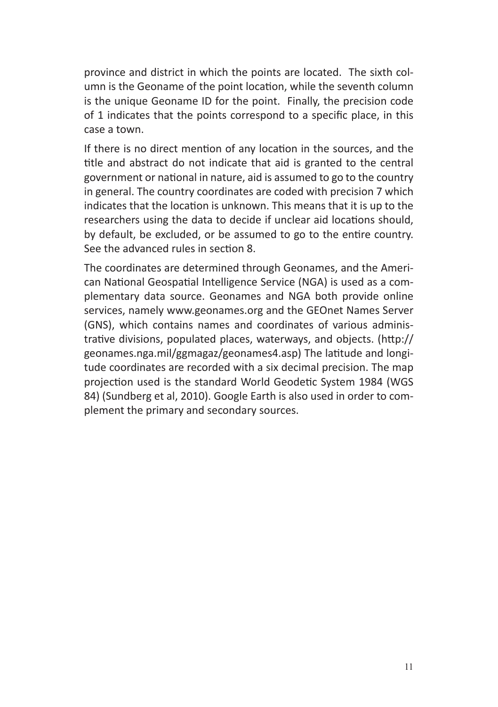province and district in which the points are located. The sixth column is the Geoname of the point location, while the seventh column is the unique Geoname ID for the point. Finally, the precision code of 1 indicates that the points correspond to a specific place, in this case a town.

If there is no direct mention of any location in the sources, and the title and abstract do not indicate that aid is granted to the central government or national in nature, aid is assumed to go to the country in general. The country coordinates are coded with precision 7 which indicates that the location is unknown. This means that it is up to the researchers using the data to decide if unclear aid locations should, by default, be excluded, or be assumed to go to the entire country. See the advanced rules in section 8.

The coordinates are determined through Geonames, and the American National Geospatial Intelligence Service (NGA) is used as a complementary data source. Geonames and NGA both provide online services, namely www.geonames.org and the GEOnet Names Server (GNS), which contains names and coordinates of various administrative divisions, populated places, waterways, and objects. (http:// geonames.nga.mil/ggmagaz/geonames4.asp) The latitude and longitude coordinates are recorded with a six decimal precision. The map projection used is the standard World Geodetic System 1984 (WGS 84) (Sundberg et al, 2010). Google Earth is also used in order to complement the primary and secondary sources.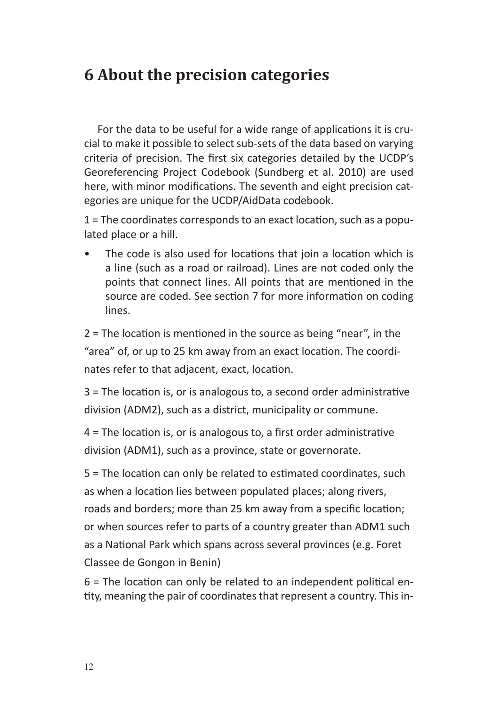# **6 About the precision categories**

For the data to be useful for a wide range of applications it is crucial to make it possible to select sub-sets of the data based on varying criteria of precision. The first six categories detailed by the UCDP's Georeferencing Project Codebook (Sundberg et al. 2010) are used here, with minor modifications. The seventh and eight precision categories are unique for the UCDP/AidData codebook.

1 = The coordinates corresponds to an exact location, such as a populated place or a hill.

The code is also used for locations that join a location which is a line (such as a road or railroad). Lines are not coded only the points that connect lines. All points that are mentioned in the source are coded. See section 7 for more information on coding lines.

2 = The location is mentioned in the source as being "near", in the "area" of, or up to 25 km away from an exact location. The coordinates refer to that adjacent, exact, location.

3 = The location is, or is analogous to, a second order administrative division (ADM2), such as a district, municipality or commune.

4 = The location is, or is analogous to, a first order administrative division (ADM1), such as a province, state or governorate.

5 = The location can only be related to estimated coordinates, such as when a location lies between populated places; along rivers, roads and borders; more than 25 km away from a specific location; or when sources refer to parts of a country greater than ADM1 such as a National Park which spans across several provinces (e.g. Foret Classee de Gongon in Benin)

6 = The location can only be related to an independent political entity, meaning the pair of coordinates that represent a country. This in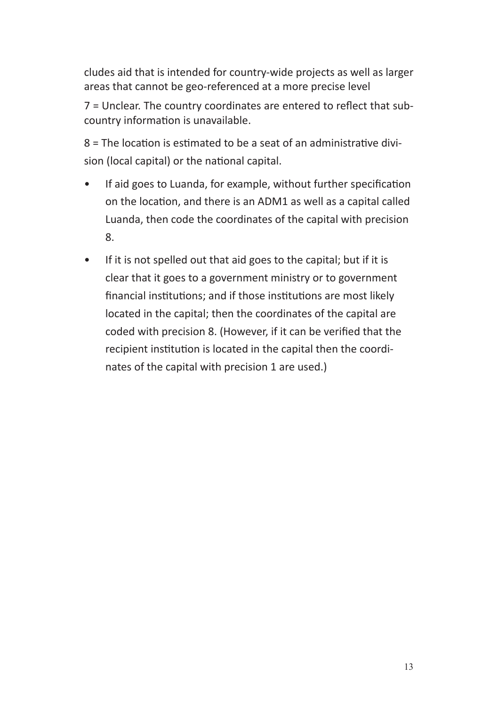cludes aid that is intended for country-wide projects as well as larger areas that cannot be geo-referenced at a more precise level

7 = Unclear. The country coordinates are entered to reflect that subcountry information is unavailable.

8 = The location is estimated to be a seat of an administrative division (local capital) or the national capital.

- If aid goes to Luanda, for example, without further specification on the location, and there is an ADM1 as well as a capital called Luanda, then code the coordinates of the capital with precision 8.
- If it is not spelled out that aid goes to the capital; but if it is clear that it goes to a government ministry or to government financial institutions; and if those institutions are most likely located in the capital; then the coordinates of the capital are coded with precision 8. (However, if it can be verified that the recipient institution is located in the capital then the coordinates of the capital with precision 1 are used.)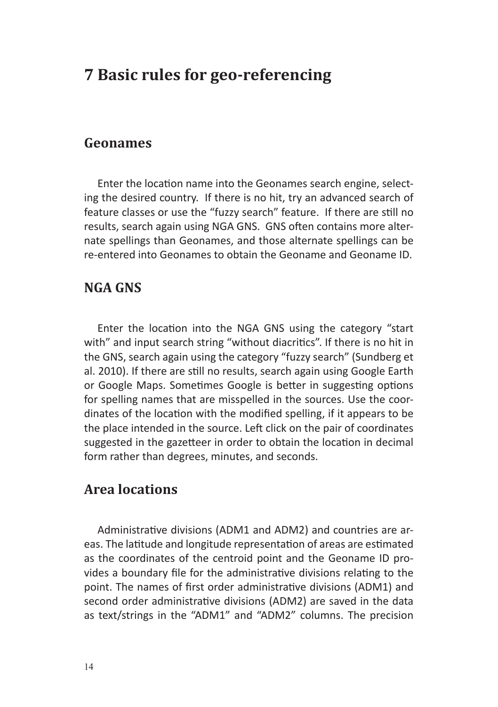# **7 Basic rules for geo-referencing**

#### **Geonames**

Enter the location name into the Geonames search engine, selecting the desired country. If there is no hit, try an advanced search of feature classes or use the "fuzzy search" feature. If there are still no results, search again using NGA GNS. GNS often contains more alternate spellings than Geonames, and those alternate spellings can be re-entered into Geonames to obtain the Geoname and Geoname ID.

#### **NGA GNS**

Enter the location into the NGA GNS using the category "start with" and input search string "without diacritics". If there is no hit in the GNS, search again using the category "fuzzy search" (Sundberg et al. 2010). If there are still no results, search again using Google Earth or Google Maps. Sometimes Google is better in suggesting options for spelling names that are misspelled in the sources. Use the coordinates of the location with the modified spelling, if it appears to be the place intended in the source. Left click on the pair of coordinates suggested in the gazetteer in order to obtain the location in decimal form rather than degrees, minutes, and seconds.

#### **Area locations**

Administrative divisions (ADM1 and ADM2) and countries are areas. The latitude and longitude representation of areas are estimated as the coordinates of the centroid point and the Geoname ID provides a boundary file for the administrative divisions relating to the point. The names of first order administrative divisions (ADM1) and second order administrative divisions (ADM2) are saved in the data as text/strings in the "ADM1" and "ADM2" columns. The precision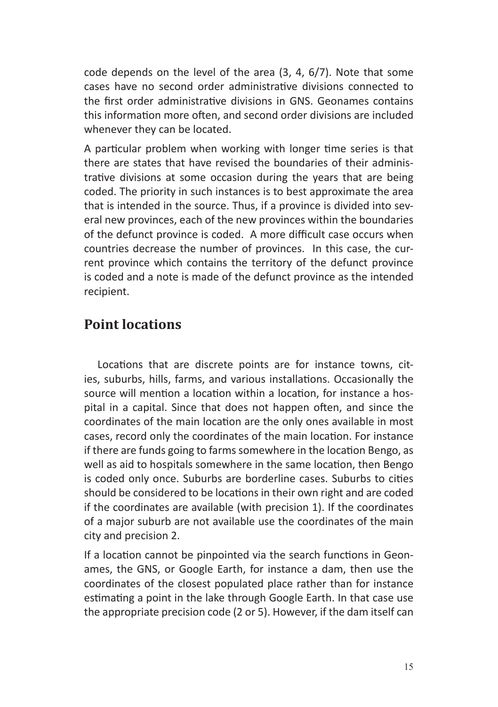code depends on the level of the area (3, 4, 6/7). Note that some cases have no second order administrative divisions connected to the first order administrative divisions in GNS. Geonames contains this information more often, and second order divisions are included whenever they can be located.

A particular problem when working with longer time series is that there are states that have revised the boundaries of their administrative divisions at some occasion during the years that are being coded. The priority in such instances is to best approximate the area that is intended in the source. Thus, if a province is divided into several new provinces, each of the new provinces within the boundaries of the defunct province is coded. A more difficult case occurs when countries decrease the number of provinces. In this case, the current province which contains the territory of the defunct province is coded and a note is made of the defunct province as the intended recipient.

#### **Point locations**

Locations that are discrete points are for instance towns, cities, suburbs, hills, farms, and various installations. Occasionally the source will mention a location within a location, for instance a hospital in a capital. Since that does not happen often, and since the coordinates of the main location are the only ones available in most cases, record only the coordinates of the main location. For instance if there are funds going to farms somewhere in the location Bengo, as well as aid to hospitals somewhere in the same location, then Bengo is coded only once. Suburbs are borderline cases. Suburbs to cities should be considered to be locations in their own right and are coded if the coordinates are available (with precision 1). If the coordinates of a major suburb are not available use the coordinates of the main city and precision 2.

If a location cannot be pinpointed via the search functions in Geonames, the GNS, or Google Earth, for instance a dam, then use the coordinates of the closest populated place rather than for instance estimating a point in the lake through Google Earth. In that case use the appropriate precision code (2 or 5). However, if the dam itself can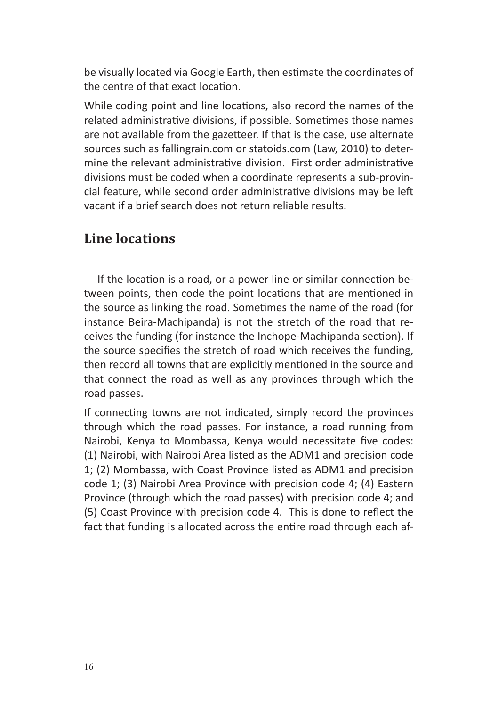be visually located via Google Earth, then estimate the coordinates of the centre of that exact location.

While coding point and line locations, also record the names of the related administrative divisions, if possible. Sometimes those names are not available from the gazetteer. If that is the case, use alternate sources such as fallingrain.com or statoids.com (Law, 2010) to determine the relevant administrative division. First order administrative divisions must be coded when a coordinate represents a sub-provincial feature, while second order administrative divisions may be left vacant if a brief search does not return reliable results.

#### **Line locations**

If the location is a road, or a power line or similar connection between points, then code the point locations that are mentioned in the source as linking the road. Sometimes the name of the road (for instance Beira-Machipanda) is not the stretch of the road that receives the funding (for instance the Inchope-Machipanda section). If the source specifies the stretch of road which receives the funding, then record all towns that are explicitly mentioned in the source and that connect the road as well as any provinces through which the road passes.

If connecting towns are not indicated, simply record the provinces through which the road passes. For instance, a road running from Nairobi, Kenya to Mombassa, Kenya would necessitate five codes: (1) Nairobi, with Nairobi Area listed as the ADM1 and precision code 1; (2) Mombassa, with Coast Province listed as ADM1 and precision code 1; (3) Nairobi Area Province with precision code 4; (4) Eastern Province (through which the road passes) with precision code 4; and (5) Coast Province with precision code 4. This is done to reflect the fact that funding is allocated across the entire road through each af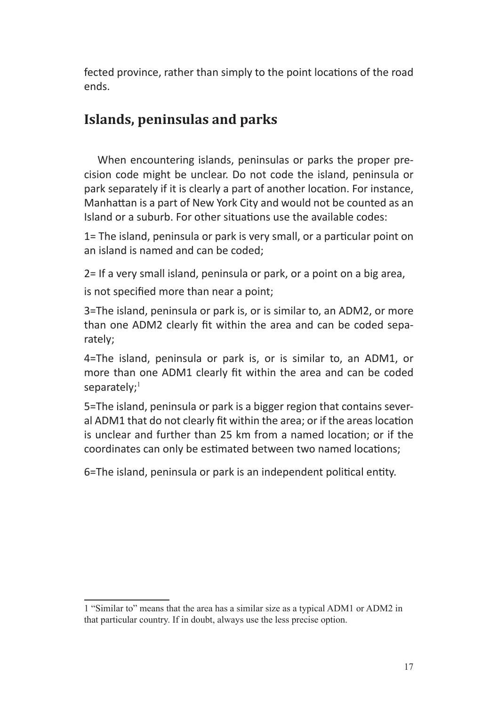fected province, rather than simply to the point locations of the road ends.

#### **Islands, peninsulas and parks**

When encountering islands, peninsulas or parks the proper precision code might be unclear. Do not code the island, peninsula or park separately if it is clearly a part of another location. For instance, Manhattan is a part of New York City and would not be counted as an Island or a suburb. For other situations use the available codes:

1= The island, peninsula or park is very small, or a particular point on an island is named and can be coded;

2= If a very small island, peninsula or park, or a point on a big area, is not specified more than near a point;

3=The island, peninsula or park is, or is similar to, an ADM2, or more than one ADM2 clearly fit within the area and can be coded separately;

4=The island, peninsula or park is, or is similar to, an ADM1, or more than one ADM1 clearly fit within the area and can be coded separately;<sup>1</sup>

5=The island, peninsula or park is a bigger region that contains several ADM1 that do not clearly fit within the area; or if the areas location is unclear and further than 25 km from a named location; or if the coordinates can only be estimated between two named locations;

6=The island, peninsula or park is an independent political entity.

<sup>1</sup> "Similar to" means that the area has a similar size as a typical ADM1 or ADM2 in that particular country. If in doubt, always use the less precise option.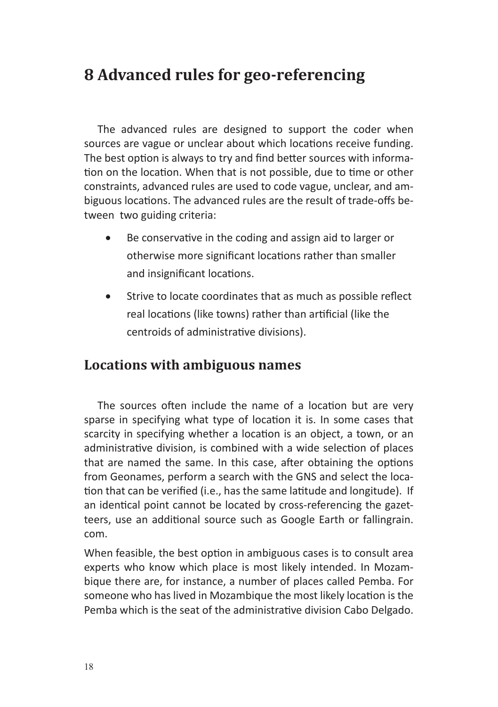# **8 Advanced rules for geo-referencing**

The advanced rules are designed to support the coder when sources are vague or unclear about which locations receive funding. The best option is always to try and find better sources with information on the location. When that is not possible, due to time or other constraints, advanced rules are used to code vague, unclear, and ambiguous locations. The advanced rules are the result of trade-offs between two guiding criteria:

- Be conservative in the coding and assign aid to larger or otherwise more significant locations rather than smaller and insignificant locations.
- Strive to locate coordinates that as much as possible reflect real locations (like towns) rather than artificial (like the centroids of administrative divisions).

#### **Locations with ambiguous names**

The sources often include the name of a location but are very sparse in specifying what type of location it is. In some cases that scarcity in specifying whether a location is an object, a town, or an administrative division, is combined with a wide selection of places that are named the same. In this case, after obtaining the options from Geonames, perform a search with the GNS and select the location that can be verified (i.e., has the same latitude and longitude). If an identical point cannot be located by cross-referencing the gazetteers, use an additional source such as Google Earth or fallingrain. com.

When feasible, the best option in ambiguous cases is to consult area experts who know which place is most likely intended. In Mozambique there are, for instance, a number of places called Pemba. For someone who has lived in Mozambique the most likely location is the Pemba which is the seat of the administrative division Cabo Delgado.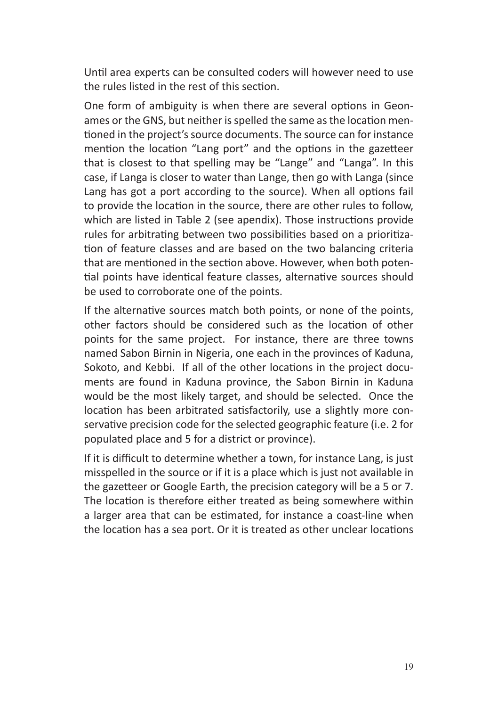Until area experts can be consulted coders will however need to use the rules listed in the rest of this section.

One form of ambiguity is when there are several options in Geonames or the GNS, but neither is spelled the same as the location mentioned in the project's source documents. The source can for instance mention the location "Lang port" and the options in the gazetteer that is closest to that spelling may be "Lange" and "Langa". In this case, if Langa is closer to water than Lange, then go with Langa (since Lang has got a port according to the source). When all options fail to provide the location in the source, there are other rules to follow, which are listed in Table 2 (see apendix). Those instructions provide rules for arbitrating between two possibilities based on a prioritization of feature classes and are based on the two balancing criteria that are mentioned in the section above. However, when both potential points have identical feature classes, alternative sources should be used to corroborate one of the points.

If the alternative sources match both points, or none of the points, other factors should be considered such as the location of other points for the same project. For instance, there are three towns named Sabon Birnin in Nigeria, one each in the provinces of Kaduna, Sokoto, and Kebbi. If all of the other locations in the project documents are found in Kaduna province, the Sabon Birnin in Kaduna would be the most likely target, and should be selected. Once the location has been arbitrated satisfactorily, use a slightly more conservative precision code for the selected geographic feature (i.e. 2 for populated place and 5 for a district or province).

If it is difficult to determine whether a town, for instance Lang, is just misspelled in the source or if it is a place which is just not available in the gazetteer or Google Earth, the precision category will be a 5 or 7. The location is therefore either treated as being somewhere within a larger area that can be estimated, for instance a coast-line when the location has a sea port. Or it is treated as other unclear locations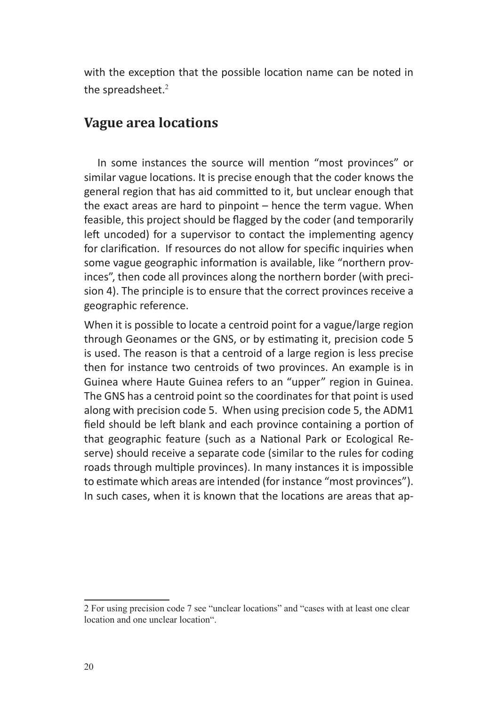with the exception that the possible location name can be noted in the spreadsheet.<sup>2</sup>

#### **Vague area locations**

In some instances the source will mention "most provinces" or similar vague locations. It is precise enough that the coder knows the general region that has aid committed to it, but unclear enough that the exact areas are hard to pinpoint – hence the term vague. When feasible, this project should be flagged by the coder (and temporarily left uncoded) for a supervisor to contact the implementing agency for clarification. If resources do not allow for specific inquiries when some vague geographic information is available, like "northern provinces", then code all provinces along the northern border (with precision 4). The principle is to ensure that the correct provinces receive a geographic reference.

When it is possible to locate a centroid point for a vague/large region through Geonames or the GNS, or by estimating it, precision code 5 is used. The reason is that a centroid of a large region is less precise then for instance two centroids of two provinces. An example is in Guinea where Haute Guinea refers to an "upper" region in Guinea. The GNS has a centroid point so the coordinates for that point is used along with precision code 5. When using precision code 5, the ADM1 field should be left blank and each province containing a portion of that geographic feature (such as a National Park or Ecological Reserve) should receive a separate code (similar to the rules for coding roads through multiple provinces). In many instances it is impossible to estimate which areas are intended (for instance "most provinces"). In such cases, when it is known that the locations are areas that ap-

<sup>2</sup> For using precision code 7 see "unclear locations" and "cases with at least one clear location and one unclear location".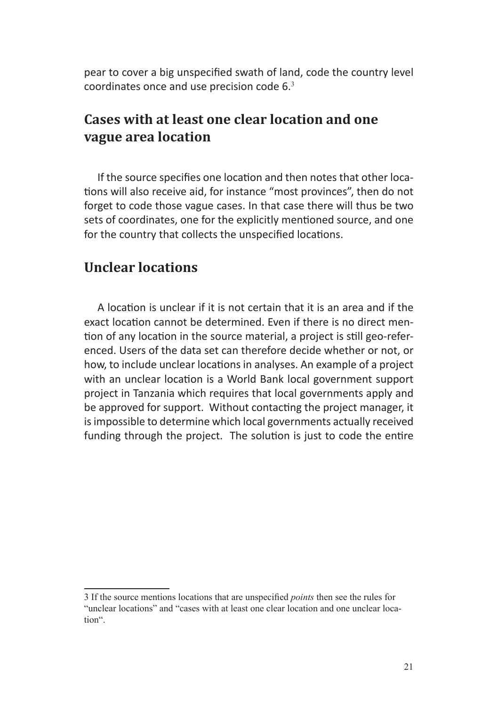pear to cover a big unspecified swath of land, code the country level coordinates once and use precision code 6.<sup>3</sup>

#### **Cases with at least one clear location and one vague area location**

If the source specifies one location and then notes that other locations will also receive aid, for instance "most provinces", then do not forget to code those vague cases. In that case there will thus be two sets of coordinates, one for the explicitly mentioned source, and one for the country that collects the unspecified locations.

#### **Unclear locations**

A location is unclear if it is not certain that it is an area and if the exact location cannot be determined. Even if there is no direct mention of any location in the source material, a project is still geo-referenced. Users of the data set can therefore decide whether or not, or how, to include unclear locations in analyses. An example of a project with an unclear location is a World Bank local government support project in Tanzania which requires that local governments apply and be approved for support. Without contacting the project manager, it is impossible to determine which local governments actually received funding through the project. The solution is just to code the entire

<sup>3</sup> If the source mentions locations that are unspecified *points* then see the rules for "unclear locations" and "cases with at least one clear location and one unclear loca� tion".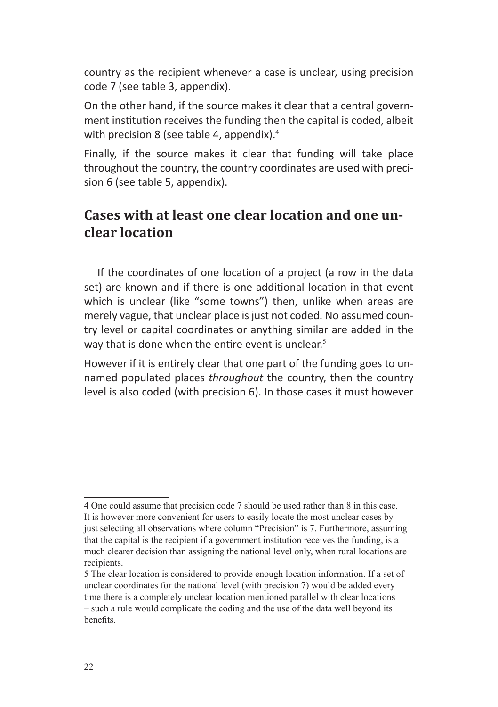country as the recipient whenever a case is unclear, using precision code 7 (see table 3, appendix).

On the other hand, if the source makes it clear that a central government institution receives the funding then the capital is coded, albeit with precision 8 (see table 4, appendix). $4$ 

Finally, if the source makes it clear that funding will take place throughout the country, the country coordinates are used with precision 6 (see table 5, appendix).

## **Cases with at least one clear location and one unclear location**

If the coordinates of one location of a project (a row in the data set) are known and if there is one additional location in that event which is unclear (like "some towns") then, unlike when areas are merely vague, that unclear place is just not coded. No assumed country level or capital coordinates or anything similar are added in the way that is done when the entire event is unclear.<sup>5</sup>

However if it is entirely clear that one part of the funding goes to unnamed populated places *throughout* the country, then the country level is also coded (with precision 6). In those cases it must however

<sup>4</sup> One could assume that precision code 7 should be used rather than 8 in this case. It is however more convenient for users to easily locate the most unclear cases by just selecting all observations where column "Precision" is 7. Furthermore, assuming that the capital is the recipient if a government institution receives the funding, is a much clearer decision than assigning the national level only, when rural locations are recipients.

<sup>5</sup> The clear location is considered to provide enough location information. If a set of unclear coordinates for the national level (with precision 7) would be added every time there is a completely unclear location mentioned parallel with clear locations – such a rule would complicate the coding and the use of the data well beyond its benefits.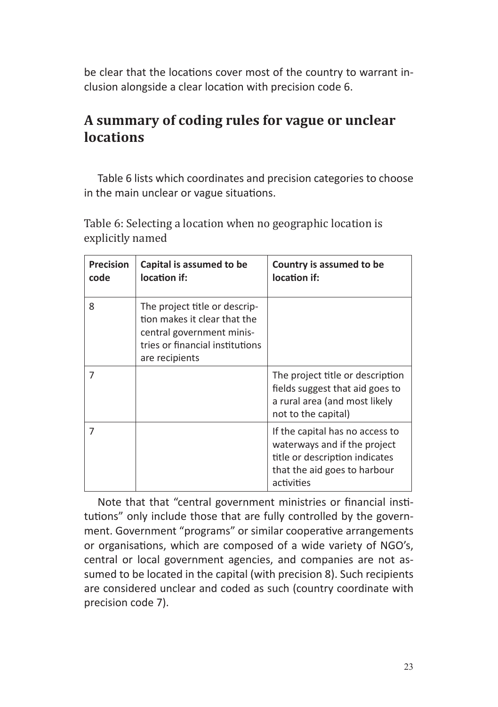be clear that the locations cover most of the country to warrant inclusion alongside a clear location with precision code 6.

# **A summary of coding rules for vague or unclear locations**

Table 6 lists which coordinates and precision categories to choose in the main unclear or vague situations.

| <b>Precision</b><br>code | Capital is assumed to be<br>location if:                                                                                                        | Country is assumed to be<br>location if:                                                                                                        |
|--------------------------|-------------------------------------------------------------------------------------------------------------------------------------------------|-------------------------------------------------------------------------------------------------------------------------------------------------|
| 8                        | The project title or descrip-<br>tion makes it clear that the<br>central government minis-<br>tries or financial institutions<br>are recipients |                                                                                                                                                 |
| 7                        |                                                                                                                                                 | The project title or description<br>fields suggest that aid goes to<br>a rural area (and most likely<br>not to the capital)                     |
| 7                        |                                                                                                                                                 | If the capital has no access to<br>waterways and if the project<br>title or description indicates<br>that the aid goes to harbour<br>activities |

Table 6: Selecting a location when no geographic location is explicitly named

Note that that "central government ministries or financial institutions" only include those that are fully controlled by the government. Government "programs" or similar cooperative arrangements or organisations, which are composed of a wide variety of NGO's, central or local government agencies, and companies are not assumed to be located in the capital (with precision 8). Such recipients are considered unclear and coded as such (country coordinate with precision code 7).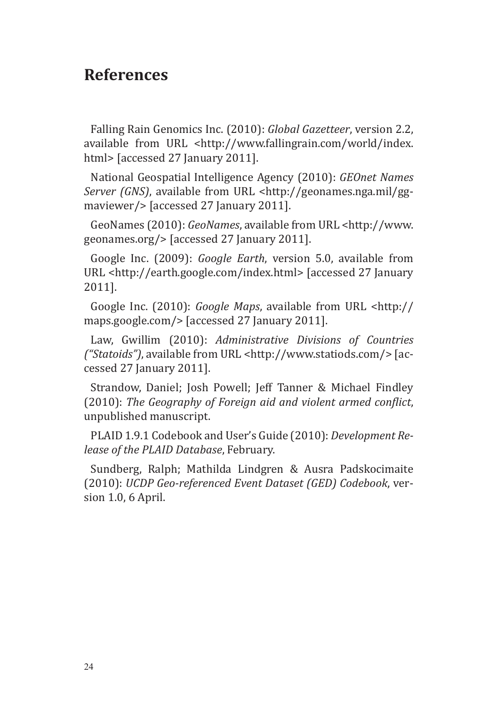# **References**

Falling Rain Genomics Inc. (2010): *Global Gazetteer*, version 2.2, available from URL <http://www.fallingrain.com/world/index. html> [accessed 27 January 2011].

National Geospatial Intelligence Agency (2010): *GEOnet Names Server (GNS)*, available from URL <http://geonames.nga.mil/ggmaviewer/> [accessed 27 January 2011].

GeoNames (2010): *GeoNames*, available from URL <http://www. geonames.org/> [accessed 27 January 2011].

Google Inc. (2009): *Google Earth*, version 5.0, available from URL <http://earth.google.com/index.html> [accessed 27 January 2011].

Google Inc. (2010): *Google Maps*, available from URL <http:// maps.google.com/> [accessed 27 January 2011].

Law, Gwillim (2010): *Administrative Divisions of Countries ("Statoids")*, available from URL <http://www.statiods.com/> [accessed 27 January 2011].

Strandow, Daniel; Josh Powell; Jeff Tanner & Michael Findley (2010): *The Geography of Foreign aid and violent armed conflict*, unpublished manuscript.

PLAID 1.9.1 Codebook and User's Guide (2010): *Development Release of the PLAID Database*, February.

Sundberg, Ralph; Mathilda Lindgren & Ausra Padskocimaite (2010): *UCDP Geo-referenced Event Dataset (GED) Codebook*, version 1.0, 6 April.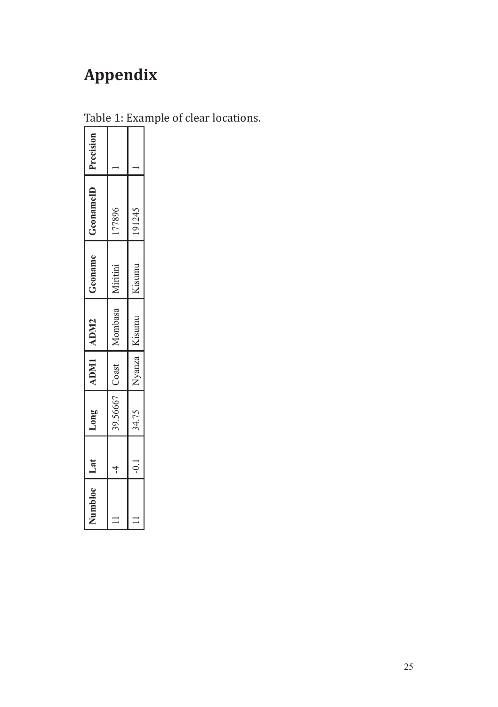# **Appendix**

| Vumbloc | $\overline{a}$ | Long     | ADMI ADM2    |         | Geoname  | GenameID | Precision |
|---------|----------------|----------|--------------|---------|----------|----------|-----------|
|         | 4              | 89.56667 | $\cos$       | Mombasa | Miritini | 77896    |           |
|         |                | 34.75    | <b>Vanza</b> | Kisumu  | Cisumu   | 191245   |           |
|         |                |          |              |         |          |          |           |

Table 1: Example of clear locations.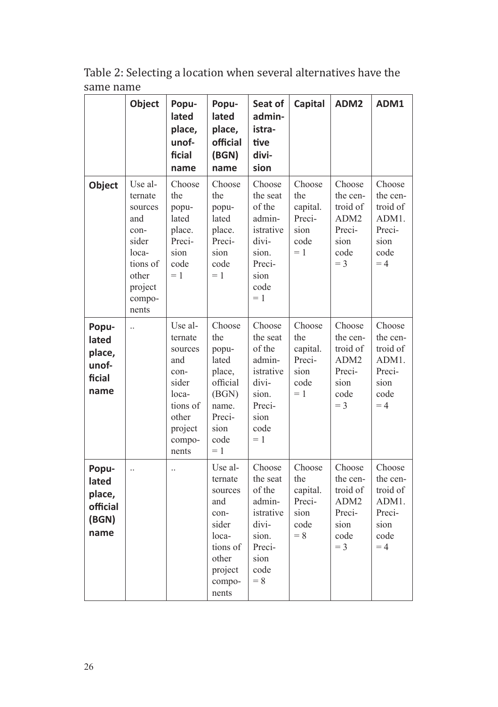|                                                       | Object                                                                                                            | Popu-<br>lated<br>place,<br>unof-<br>ficial<br>name                                                               | Popu-<br>lated<br>place,<br>official<br>(BGN)<br>name                                                             | Seat of<br>admin-<br>istra-<br>tive<br>divi-<br>sion                                                     | Capital                                                      | ADM2                                                                                  | ADM1                                                                      |
|-------------------------------------------------------|-------------------------------------------------------------------------------------------------------------------|-------------------------------------------------------------------------------------------------------------------|-------------------------------------------------------------------------------------------------------------------|----------------------------------------------------------------------------------------------------------|--------------------------------------------------------------|---------------------------------------------------------------------------------------|---------------------------------------------------------------------------|
| Object                                                | Use al-<br>ternate<br>sources<br>and<br>con-<br>sider<br>loca-<br>tions of<br>other<br>project<br>compo-<br>nents | Choose<br>the<br>popu-<br>lated<br>place.<br>Preci-<br>sion<br>code<br>$= 1$                                      | Choose<br>the<br>popu-<br>lated<br>place.<br>Preci-<br>sion<br>code<br>$= 1$                                      | Choose<br>the seat<br>of the<br>admin-<br>istrative<br>divi-<br>sion.<br>Preci-<br>sion<br>code<br>$=1$  | Choose<br>the<br>capital.<br>Preci-<br>sion<br>code<br>$= 1$ | Choose<br>the cen-<br>troid of<br>ADM <sub>2</sub><br>Preci-<br>sion<br>code<br>$=$ 3 | Choose<br>the cen-<br>troid of<br>ADM1.<br>Preci-<br>sion<br>code<br>$=4$ |
| Popu-<br>lated<br>place,<br>unof-<br>ficial<br>name   | $\ddots$                                                                                                          | Use al-<br>ternate<br>sources<br>and<br>con-<br>sider<br>loca-<br>tions of<br>other<br>project<br>compo-<br>nents | Choose<br>the<br>popu-<br>lated<br>place,<br>official<br>(BGN)<br>name.<br>Preci-<br>sion<br>code<br>$= 1$        | Choose<br>the seat<br>of the<br>admin-<br>istrative<br>divi-<br>sion.<br>Preci-<br>sion<br>code<br>$=1$  | Choose<br>the<br>capital.<br>Preci-<br>sion<br>code<br>$= 1$ | Choose<br>the cen-<br>troid of<br>ADM <sub>2</sub><br>Preci-<br>sion<br>code<br>$=$ 3 | Choose<br>the cen-<br>troid of<br>ADM1.<br>Preci-<br>sion<br>code<br>$=4$ |
| Popu-<br>lated<br>place,<br>official<br>(BGN)<br>name | $\ddotsc$                                                                                                         | $\ddotsc$                                                                                                         | Use al-<br>ternate<br>sources<br>and<br>con-<br>sider<br>loca-<br>tions of<br>other<br>project<br>compo-<br>nents | Choose<br>the seat<br>of the<br>admin-<br>istrative<br>divi-<br>sion.<br>Preci-<br>sion<br>code<br>$= 8$ | Choose<br>the<br>capital.<br>Preci-<br>sion<br>code<br>$= 8$ | Choose<br>the cen-<br>troid of<br>ADM <sub>2</sub><br>Preci-<br>sion<br>code<br>$=$ 3 | Choose<br>the cen-<br>troid of<br>ADM1.<br>Preci-<br>sion<br>code<br>$=4$ |

Table 2: Selecting a location when several alternatives have the same name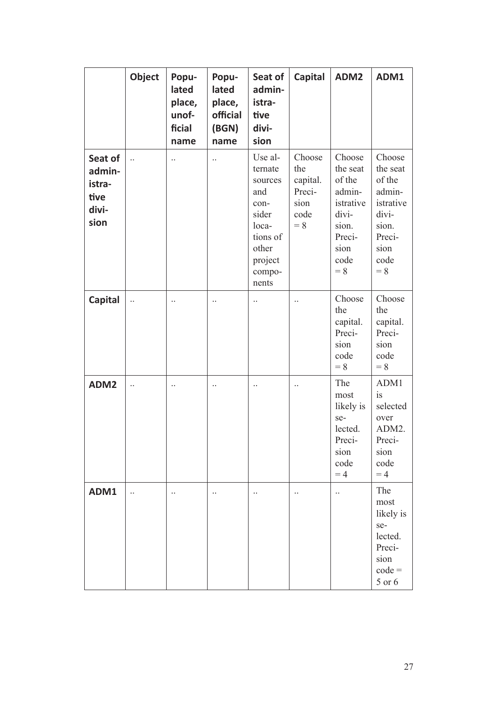|                                                      | Object               | Popu-<br>lated<br>place,<br>unof-<br>ficial<br>name | Popu-<br>lated<br>place,<br>official<br>(BGN)<br>name | Seat of<br>admin-<br>istra-<br>tive<br>divi-<br>sion                                                              | Capital                                                      | ADM2                                                                                                     | ADM1                                                                                                     |
|------------------------------------------------------|----------------------|-----------------------------------------------------|-------------------------------------------------------|-------------------------------------------------------------------------------------------------------------------|--------------------------------------------------------------|----------------------------------------------------------------------------------------------------------|----------------------------------------------------------------------------------------------------------|
| Seat of<br>admin-<br>istra-<br>tive<br>divi-<br>sion | $\ddot{\phantom{0}}$ | $\ddots$                                            | $\ddotsc$                                             | Use al-<br>ternate<br>sources<br>and<br>con-<br>sider<br>loca-<br>tions of<br>other<br>project<br>compo-<br>nents | Choose<br>the<br>capital.<br>Preci-<br>sion<br>code<br>$= 8$ | Choose<br>the seat<br>of the<br>admin-<br>istrative<br>divi-<br>sion.<br>Preci-<br>sion<br>code<br>$= 8$ | Choose<br>the seat<br>of the<br>admin-<br>istrative<br>divi-<br>sion.<br>Preci-<br>sion<br>code<br>$= 8$ |
| Capital                                              | $\ddots$             | $\ddots$                                            | $\ddotsc$                                             | $\ddotsc$                                                                                                         | $\ddotsc$                                                    | Choose<br>the<br>capital.<br>Preci-<br>sion<br>code<br>$= 8$                                             | Choose<br>the<br>capital.<br>Preci-<br>sion<br>code<br>$= 8$                                             |
| ADM <sub>2</sub>                                     | $\ddotsc$            | $\ddotsc$                                           | $\ddotsc$                                             | $\ddotsc$                                                                                                         | $\ddots$                                                     | The<br>most<br>likely is<br>se-<br>lected.<br>Preci-<br>sion<br>code<br>$=4$                             | ADM1<br>is<br>selected<br>over<br>ADM2.<br>Preci-<br>sion<br>code<br>$=4$                                |
| ADM1                                                 | $\ddotsc$            | $\ddotsc$                                           | $\ddotsc$                                             | $\ddotsc$                                                                                                         | $\ddotsc$                                                    |                                                                                                          | The<br>most<br>likely is<br>se-<br>lected.<br>Preci-<br>sion<br>$code =$<br>5 or 6                       |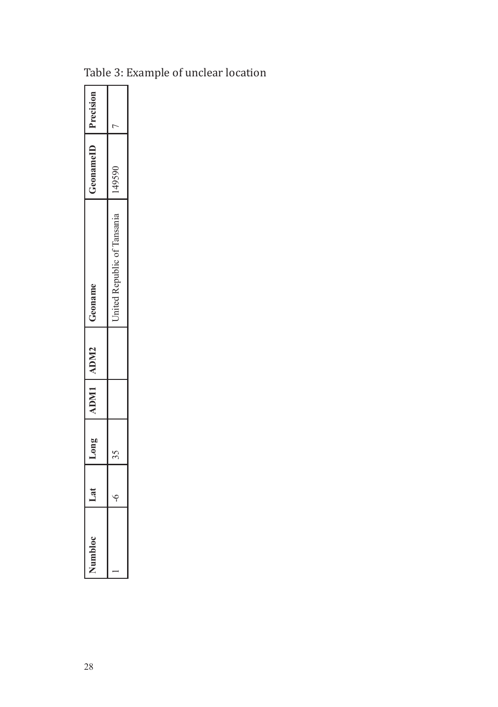|   | Long   | ADM1 ADM2 | $-$ onam                   | mame  | recision |
|---|--------|-----------|----------------------------|-------|----------|
| ī | ¢<br>١ |           | United Republic of Tansani | 49590 | ľ        |

Table 3: Example of unclear location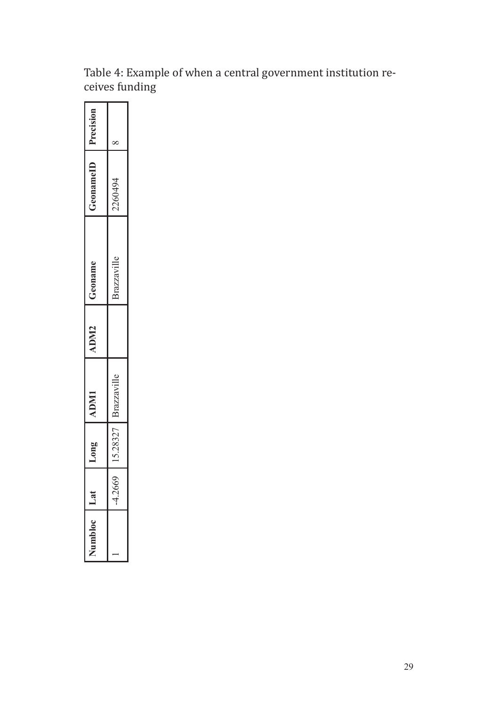| umblo | ā         | $L$ ong $I$ | <b>IIMU</b> | <b>UDM2</b> | reoname    | reonamel | Precision |
|-------|-----------|-------------|-------------|-------------|------------|----------|-----------|
|       | $-4.2669$ | 5.28327     | razzavil.   |             | Prazzavil. | 2260494  |           |
|       |           |             |             |             |            |          |           |

Table 4: Example of when a central government institution receives funding